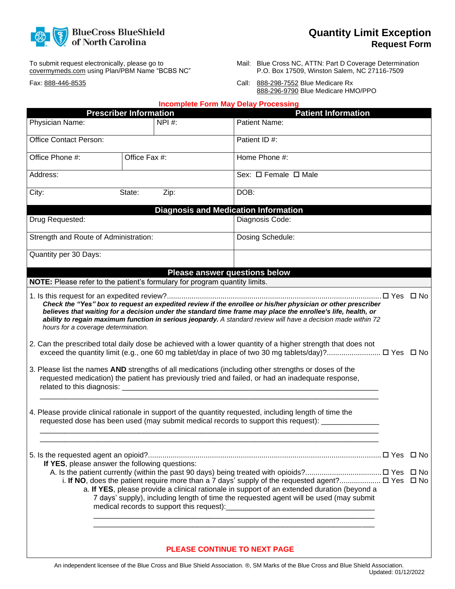

To submit request electronically, please go to covermymeds.com using Plan/PBM Name "BCBS NC"

Fax: 888-446-8535

- Mail: Blue Cross NC, ATTN: Part D Coverage Determination P.O. Box 17509, Winston Salem, NC 27116-7509
- Call: 888-298-7552 Blue Medicare Rx 888-296-9790 Blue Medicare HMO/PPO

|                                                                            |                               |        | <b>Incomplete Form May Delay Processing</b>                                                                                                                                                                                                                                                                                                                                                                                                                                                                                                                                                                                                                       |  |
|----------------------------------------------------------------------------|-------------------------------|--------|-------------------------------------------------------------------------------------------------------------------------------------------------------------------------------------------------------------------------------------------------------------------------------------------------------------------------------------------------------------------------------------------------------------------------------------------------------------------------------------------------------------------------------------------------------------------------------------------------------------------------------------------------------------------|--|
|                                                                            | <b>Prescriber Information</b> |        | <b>Patient Information</b>                                                                                                                                                                                                                                                                                                                                                                                                                                                                                                                                                                                                                                        |  |
| Physician Name:                                                            |                               | NPI #: | Patient Name:                                                                                                                                                                                                                                                                                                                                                                                                                                                                                                                                                                                                                                                     |  |
| <b>Office Contact Person:</b>                                              |                               |        | Patient ID #:                                                                                                                                                                                                                                                                                                                                                                                                                                                                                                                                                                                                                                                     |  |
| Office Fax #:<br>Office Phone #:                                           |                               |        | Home Phone #:                                                                                                                                                                                                                                                                                                                                                                                                                                                                                                                                                                                                                                                     |  |
| Address:                                                                   |                               |        | Sex: $\Box$ Female $\Box$ Male                                                                                                                                                                                                                                                                                                                                                                                                                                                                                                                                                                                                                                    |  |
| City:                                                                      | State:                        | Zip:   | DOB:                                                                                                                                                                                                                                                                                                                                                                                                                                                                                                                                                                                                                                                              |  |
|                                                                            |                               |        | <b>Diagnosis and Medication Information</b>                                                                                                                                                                                                                                                                                                                                                                                                                                                                                                                                                                                                                       |  |
| Drug Requested:                                                            |                               |        | Diagnosis Code:                                                                                                                                                                                                                                                                                                                                                                                                                                                                                                                                                                                                                                                   |  |
| Strength and Route of Administration:                                      |                               |        | Dosing Schedule:                                                                                                                                                                                                                                                                                                                                                                                                                                                                                                                                                                                                                                                  |  |
| Quantity per 30 Days:                                                      |                               |        |                                                                                                                                                                                                                                                                                                                                                                                                                                                                                                                                                                                                                                                                   |  |
|                                                                            |                               |        | <b>Please answer questions below</b>                                                                                                                                                                                                                                                                                                                                                                                                                                                                                                                                                                                                                              |  |
| NOTE: Please refer to the patient's formulary for program quantity limits. |                               |        |                                                                                                                                                                                                                                                                                                                                                                                                                                                                                                                                                                                                                                                                   |  |
| hours for a coverage determination.                                        |                               |        | believes that waiting for a decision under the standard time frame may place the enrollee's life, health, or<br>ability to regain maximum function in serious jeopardy. A standard review will have a decision made within 72<br>2. Can the prescribed total daily dose be achieved with a lower quantity of a higher strength that does not<br>exceed the quantity limit (e.g., one 60 mg tablet/day in place of two 30 mg tablets/day)? □ Yes □ No<br>3. Please list the names AND strengths of all medications (including other strengths or doses of the<br>requested medication) the patient has previously tried and failed, or had an inadequate response, |  |
|                                                                            |                               |        | 4. Please provide clinical rationale in support of the quantity requested, including length of time the<br>requested dose has been used (may submit medical records to support this request): _______________                                                                                                                                                                                                                                                                                                                                                                                                                                                     |  |
|                                                                            |                               |        |                                                                                                                                                                                                                                                                                                                                                                                                                                                                                                                                                                                                                                                                   |  |
| If YES, please answer the following questions:                             |                               |        |                                                                                                                                                                                                                                                                                                                                                                                                                                                                                                                                                                                                                                                                   |  |
|                                                                            |                               |        | i. If NO, does the patient require more than a 7 days' supply of the requested agent? $\Box$ Yes $\Box$ No<br>a. If YES, please provide a clinical rationale in support of an extended duration (beyond a<br>7 days' supply), including length of time the requested agent will be used (may submit                                                                                                                                                                                                                                                                                                                                                               |  |
|                                                                            |                               |        | <b>PLEASE CONTINUE TO NEXT PAGE</b>                                                                                                                                                                                                                                                                                                                                                                                                                                                                                                                                                                                                                               |  |